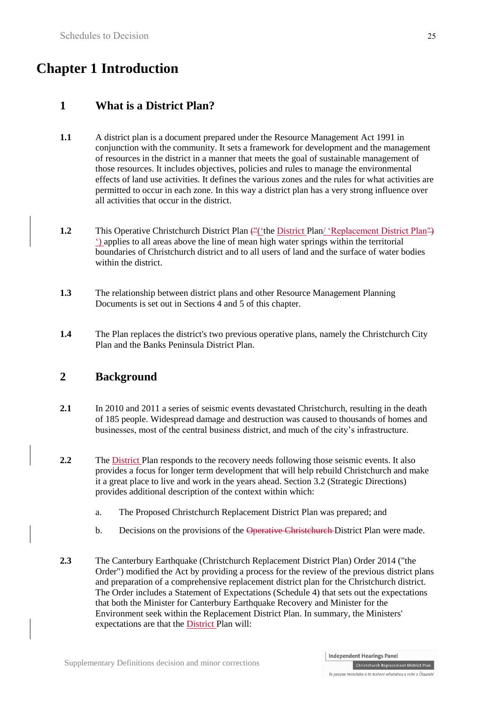# **Chapter 1 Introduction**

# **1 What is a District Plan?**

- **1.1** A district plan is a document prepared under the Resource Management Act 1991 in conjunction with the community. It sets a framework for development and the management of resources in the district in a manner that meets the goal of sustainable management of those resources. It includes objectives, policies and rules to manage the environmental effects of land use activities. It defines the various zones and the rules for what activities are permitted to occur in each zone. In this way a district plan has a very strong influence over all activities that occur in the district.
- **1.2** This Operative Christchurch District Plan ("('the District Plan' 'Replacement District Plan") ') applies to all areas above the line of mean high water springs within the territorial boundaries of Christchurch district and to all users of land and the surface of water bodies within the district.
- **1.3** The relationship between district plans and other Resource Management Planning Documents is set out in Sections 4 and 5 of this chapter.
- **1.4** The Plan replaces the district's two previous operative plans, namely the Christchurch City Plan and the Banks Peninsula District Plan.

# **2 Background**

- **2.1** In 2010 and 2011 a series of seismic events devastated Christchurch, resulting in the death of 185 people. Widespread damage and destruction was caused to thousands of homes and businesses, most of the central business district, and much of the city's infrastructure.
- **2.2** The District Plan responds to the recovery needs following those seismic events. It also provides a focus for longer term development that will help rebuild Christchurch and make it a great place to live and work in the years ahead. Section 3.2 (Strategic Directions) provides additional description of the context within which:
	- a. The Proposed Christchurch Replacement District Plan was prepared; and
	- b. Decisions on the provisions of the Operative Christehurch-District Plan were made.
- **2.3** The Canterbury Earthquake (Christchurch Replacement District Plan) Order 2014 ("the Order") modified the Act by providing a process for the review of the previous district plans and preparation of a comprehensive replacement district plan for the Christchurch district. The Order includes a Statement of Expectations (Schedule 4) that sets out the expectations that both the Minister for Canterbury Earthquake Recovery and Minister for the Environment seek within the Replacement District Plan. In summary, the Ministers' expectations are that the District Plan will: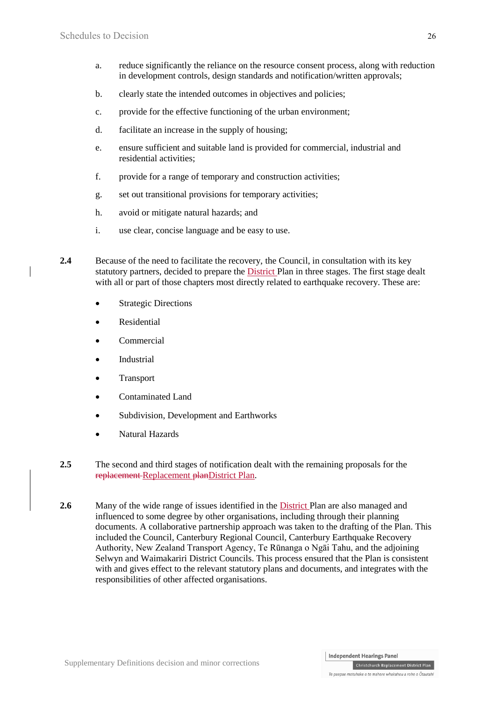- a. reduce significantly the reliance on the resource consent process, along with reduction in development controls, design standards and notification/written approvals;
- b. clearly state the intended outcomes in objectives and policies;
- c. provide for the effective functioning of the urban environment;
- d. facilitate an increase in the supply of housing;
- e. ensure sufficient and suitable land is provided for commercial, industrial and residential activities;
- f. provide for a range of temporary and construction activities;
- g. set out transitional provisions for temporary activities;
- h. avoid or mitigate natural hazards; and
- i. use clear, concise language and be easy to use.
- **2.4** Because of the need to facilitate the recovery, the Council, in consultation with its key statutory partners, decided to prepare the District Plan in three stages. The first stage dealt with all or part of those chapters most directly related to earthquake recovery. These are:
	- Strategic Directions
	- Residential
	- Commercial
	- Industrial
	- Transport
	- Contaminated Land
	- Subdivision, Development and Earthworks
	- Natural Hazards
- **2.5** The second and third stages of notification dealt with the remaining proposals for the replacement Replacement planDistrict Plan.
- **2.6** Many of the wide range of issues identified in the District Plan are also managed and influenced to some degree by other organisations, including through their planning documents. A collaborative partnership approach was taken to the drafting of the Plan. This included the Council, Canterbury Regional Council, Canterbury Earthquake Recovery Authority, New Zealand Transport Agency, Te Rūnanga o Ngāi Tahu, and the adjoining Selwyn and Waimakariri District Councils. This process ensured that the Plan is consistent with and gives effect to the relevant statutory plans and documents, and integrates with the responsibilities of other affected organisations.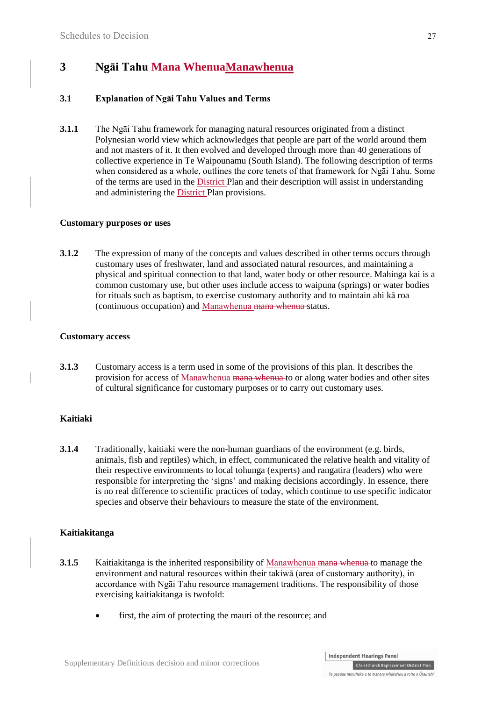# **3 Ngāi Tahu Mana WhenuaManawhenua**

### **3.1 Explanation of Ngāi Tahu Values and Terms**

**3.1.1** The Ngāi Tahu framework for managing natural resources originated from a distinct Polynesian world view which acknowledges that people are part of the world around them and not masters of it. It then evolved and developed through more than 40 generations of collective experience in Te Waipounamu (South Island). The following description of terms when considered as a whole, outlines the core tenets of that framework for Ngāi Tahu. Some of the terms are used in the District Plan and their description will assist in understanding and administering the District Plan provisions.

#### **Customary purposes or uses**

**3.1.2** The expression of many of the concepts and values described in other terms occurs through customary uses of freshwater, land and associated natural resources, and maintaining a physical and spiritual connection to that land, water body or other resource. Mahinga kai is a common customary use, but other uses include access to waipuna (springs) or water bodies for rituals such as baptism, to exercise customary authority and to maintain ahi kā roa (continuous occupation) and Manawhenua mana whenua status.

#### **Customary access**

**3.1.3** Customary access is a term used in some of the provisions of this plan. It describes the provision for access of Manawhenua mana whenua to or along water bodies and other sites of cultural significance for customary purposes or to carry out customary uses.

#### **Kaitiaki**

**3.1.4** Traditionally, kaitiaki were the non-human guardians of the environment (e.g. birds, animals, fish and reptiles) which, in effect, communicated the relative health and vitality of their respective environments to local tohunga (experts) and rangatira (leaders) who were responsible for interpreting the 'signs' and making decisions accordingly. In essence, there is no real difference to scientific practices of today, which continue to use specific indicator species and observe their behaviours to measure the state of the environment.

#### **Kaitiakitanga**

- **3.1.5** Kaitiakitanga is the inherited responsibility of Manawhenua mana whenua to manage the environment and natural resources within their takiwā (area of customary authority), in accordance with Ngāi Tahu resource management traditions. The responsibility of those exercising kaitiakitanga is twofold:
	- first, the aim of protecting the mauri of the resource; and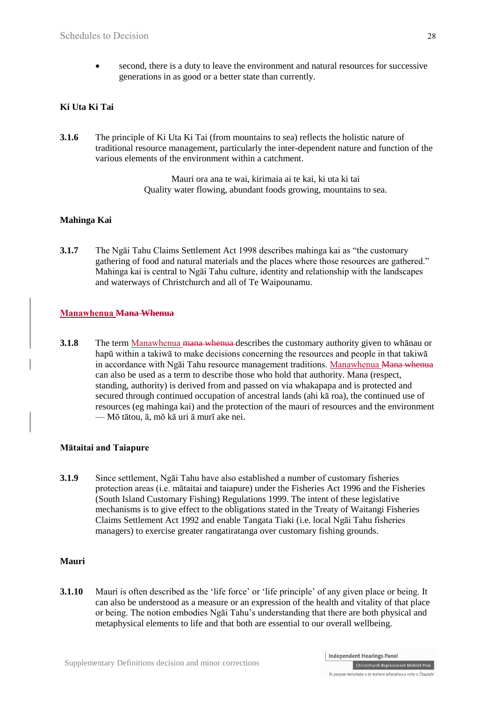second, there is a duty to leave the environment and natural resources for successive generations in as good or a better state than currently.

### **Ki Uta Ki Tai**

**3.1.6** The principle of Ki Uta Ki Tai (from mountains to sea) reflects the holistic nature of traditional resource management, particularly the inter-dependent nature and function of the various elements of the environment within a catchment.

> Mauri ora ana te wai, kirimaia ai te kai, ki uta ki tai Quality water flowing, abundant foods growing, mountains to sea.

### **Mahinga Kai**

**3.1.7** The Ngāi Tahu Claims Settlement Act 1998 describes mahinga kai as "the customary gathering of food and natural materials and the places where those resources are gathered." Mahinga kai is central to Ngāi Tahu culture, identity and relationship with the landscapes and waterways of Christchurch and all of Te Waipounamu.

### **Manawhenua Mana Whenua**

**3.1.8** The term Manawhenua mana whenua describes the customary authority given to whanau or hapū within a takiwā to make decisions concerning the resources and people in that takiwā in accordance with Ngāi Tahu resource management traditions. Manawhenua Mana whenua can also be used as a term to describe those who hold that authority. Mana (respect, standing, authority) is derived from and passed on via whakapapa and is protected and secured through continued occupation of ancestral lands (ahi kā roa), the continued use of resources (eg mahinga kai) and the protection of the mauri of resources and the environment — Mō tātou, ā, mō kā uri ā murī ake nei.

#### **Mātaitai and Taiapure**

**3.1.9** Since settlement, Ngāi Tahu have also established a number of customary fisheries protection areas (i.e. mātaitai and taiapure) under the Fisheries Act 1996 and the Fisheries (South Island Customary Fishing) Regulations 1999. The intent of these legislative mechanisms is to give effect to the obligations stated in the Treaty of Waitangi Fisheries Claims Settlement Act 1992 and enable Tangata Tiaki (i.e. local Ngāi Tahu fisheries managers) to exercise greater rangatiratanga over customary fishing grounds.

#### **Mauri**

**3.1.10** Mauri is often described as the 'life force' or 'life principle' of any given place or being. It can also be understood as a measure or an expression of the health and vitality of that place or being. The notion embodies Ngāi Tahu's understanding that there are both physical and metaphysical elements to life and that both are essential to our overall wellbeing.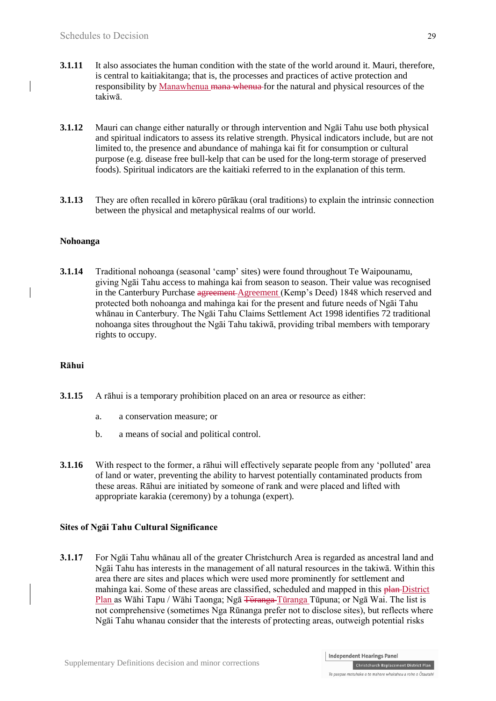- **3.1.11** It also associates the human condition with the state of the world around it. Mauri, therefore, is central to kaitiakitanga; that is, the processes and practices of active protection and responsibility by Manawhenua mana whenua for the natural and physical resources of the takiwā.
- **3.1.12** Mauri can change either naturally or through intervention and Ngāi Tahu use both physical and spiritual indicators to assess its relative strength. Physical indicators include, but are not limited to, the presence and abundance of mahinga kai fit for consumption or cultural purpose (e.g. disease free bull-kelp that can be used for the long-term storage of preserved foods). Spiritual indicators are the kaitiaki referred to in the explanation of this term.
- **3.1.13** They are often recalled in kōrero pūrākau (oral traditions) to explain the intrinsic connection between the physical and metaphysical realms of our world.

### **Nohoanga**

**3.1.14** Traditional nohoanga (seasonal 'camp' sites) were found throughout Te Waipounamu, giving Ngāi Tahu access to mahinga kai from season to season. Their value was recognised in the Canterbury Purchase agreement Agreement (Kemp's Deed) 1848 which reserved and protected both nohoanga and mahinga kai for the present and future needs of Ngāi Tahu whānau in Canterbury. The Ngāi Tahu Claims Settlement Act 1998 identifies 72 traditional nohoanga sites throughout the Ngāi Tahu takiwā, providing tribal members with temporary rights to occupy.

#### **Rāhui**

- **3.1.15** A rāhui is a temporary prohibition placed on an area or resource as either:
	- a. a conservation measure; or
	- b. a means of social and political control.
- **3.1.16** With respect to the former, a rāhui will effectively separate people from any 'polluted' area of land or water, preventing the ability to harvest potentially contaminated products from these areas. Rāhui are initiated by someone of rank and were placed and lifted with appropriate karakia (ceremony) by a tohunga (expert).

### **Sites of Ngāi Tahu Cultural Significance**

**3.1.17** For Ngāi Tahu whānau all of the greater Christchurch Area is regarded as ancestral land and Ngāi Tahu has interests in the management of all natural resources in the takiwā. Within this area there are sites and places which were used more prominently for settlement and mahinga kai. Some of these areas are classified, scheduled and mapped in this plan-District Plan as Wāhi Tapu / Wāhi Taonga; Ngā <del>Tūranga</del>-Tūranga Tūpuna; or Ngā Wai. The list is not comprehensive (sometimes Nga Rūnanga prefer not to disclose sites), but reflects where Ngāi Tahu whanau consider that the interests of protecting areas, outweigh potential risks

Te paepae motuhake o te mahere whakahou a rohe o Ōtautahi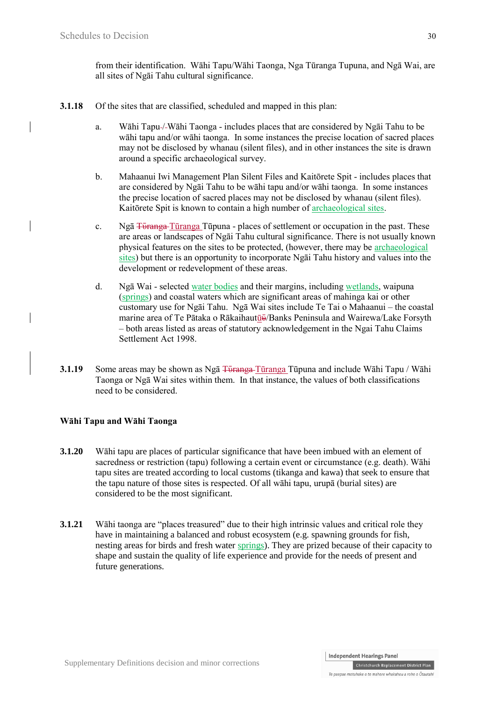from their identification. Wāhi Tapu/Wāhi Taonga, Nga Tūranga Tupuna, and Ngā Wai, are all sites of Ngāi Tahu cultural significance.

- **3.1.18** Of the sites that are classified, scheduled and mapped in this plan:
	- a. Wāhi Tapu-/-Wāhi Taonga includes places that are considered by Ngāi Tahu to be wāhi tapu and/or wāhi taonga. In some instances the precise location of sacred places may not be disclosed by whanau (silent files), and in other instances the site is drawn around a specific archaeological survey.
	- b. Mahaanui Iwi Management Plan Silent Files and Kaitōrete Spit includes places that are considered by Ngāi Tahu to be wāhi tapu and/or wāhi taonga. In some instances the precise location of sacred places may not be disclosed by whanau (silent files). Kaitōrete Spit is known to contain a high number of archaeological sites.
	- c. Ng<del>ā Tūranga T</del>ūranga Tūpuna places of settlement or occupation in the past. These are areas or landscapes of Ngāi Tahu cultural significance. There is not usually known physical features on the sites to be protected, (however, there may be archaeological sites) but there is an opportunity to incorporate Ngāi Tahu history and values into the development or redevelopment of these areas.
	- d. Ngā Wai selected water bodies and their margins, including wetlands, waipuna (springs) and coastal waters which are significant areas of mahinga kai or other customary use for Ngāi Tahu. Ngā Wai sites include Te Tai o Mahaanui – the coastal marine area of Te Pātaka o Rākaihautū<del>v</del>/Banks Peninsula and Wairewa/Lake Forsyth – both areas listed as areas of statutory acknowledgement in the Ngai Tahu Claims Settlement Act 1998.
- **3.1.19** Some areas may be shown as Ng<del>ā Tūranga</del> Tūranga Tūpuna and include Wāhi Tapu / Wāhi Taonga or Ngā Wai sites within them. In that instance, the values of both classifications need to be considered.

### **Wāhi Tapu and Wāhi Taonga**

- **3.1.20** Wāhi tapu are places of particular significance that have been imbued with an element of sacredness or restriction (tapu) following a certain event or circumstance (e.g. death). Wāhi tapu sites are treated according to local customs (tikanga and kawa) that seek to ensure that the tapu nature of those sites is respected. Of all wāhi tapu, urupā (burial sites) are considered to be the most significant.
- **3.1.21** Wāhi taonga are "places treasured" due to their high intrinsic values and critical role they have in maintaining a balanced and robust ecosystem (e.g. spawning grounds for fish, nesting areas for birds and fresh water springs). They are prized because of their capacity to shape and sustain the quality of life experience and provide for the needs of present and future generations.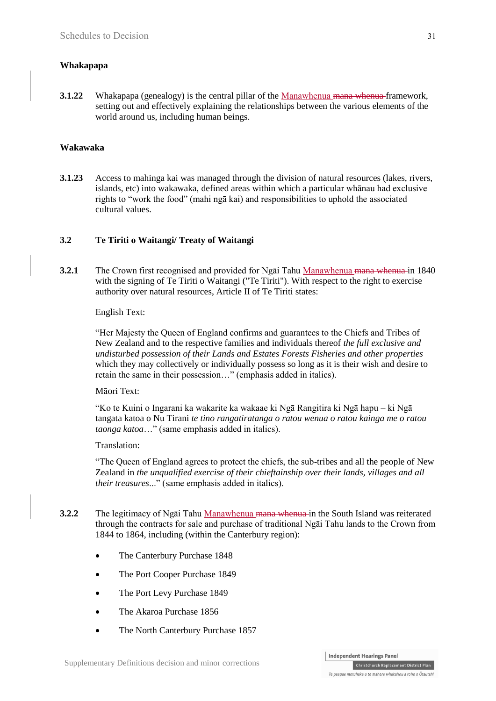### **Whakapapa**

**3.1.22** Whakapapa (genealogy) is the central pillar of the Manawhenua mana whenua framework, setting out and effectively explaining the relationships between the various elements of the world around us, including human beings.

### **Wakawaka**

**3.1.23** Access to mahinga kai was managed through the division of natural resources (lakes, rivers, islands, etc) into wakawaka, defined areas within which a particular whānau had exclusive rights to "work the food" (mahi ngā kai) and responsibilities to uphold the associated cultural values.

### **3.2 Te Tiriti o Waitangi/ Treaty of Waitangi**

**3.2.1** The Crown first recognised and provided for Ngai Tahu Manawhenua mana whenua in 1840 with the signing of Te Tiriti o Waitangi ("Te Tiriti"). With respect to the right to exercise authority over natural resources, Article II of Te Tiriti states:

English Text:

"Her Majesty the Queen of England confirms and guarantees to the Chiefs and Tribes of New Zealand and to the respective families and individuals thereof *the full exclusive and undisturbed possession of their Lands and Estates Forests Fisheries and other properties* which they may collectively or individually possess so long as it is their wish and desire to retain the same in their possession…" (emphasis added in italics).

### Māori Text:

"Ko te Kuini o Ingarani ka wakarite ka wakaae ki Ngā Rangitira ki Ngā hapu – ki Ngā tangata katoa o Nu Tirani *te tino rangatiratanga o ratou wenua o ratou kainga me o ratou taonga katoa*…" (same emphasis added in italics).

### Translation:

"The Queen of England agrees to protect the chiefs, the sub-tribes and all the people of New Zealand in *the unqualified exercise of their chieftainship over their lands, villages and all their treasures*..." (same emphasis added in italics).

- **3.2.2** The legitimacy of Ngāi Tahu Manawhenua mana whenua in the South Island was reiterated through the contracts for sale and purchase of traditional Ngāi Tahu lands to the Crown from 1844 to 1864, including (within the Canterbury region):
	- The Canterbury Purchase 1848
	- The Port Cooper Purchase 1849
	- The Port Levy Purchase 1849
	- The Akaroa Purchase 1856
	- The North Canterbury Purchase 1857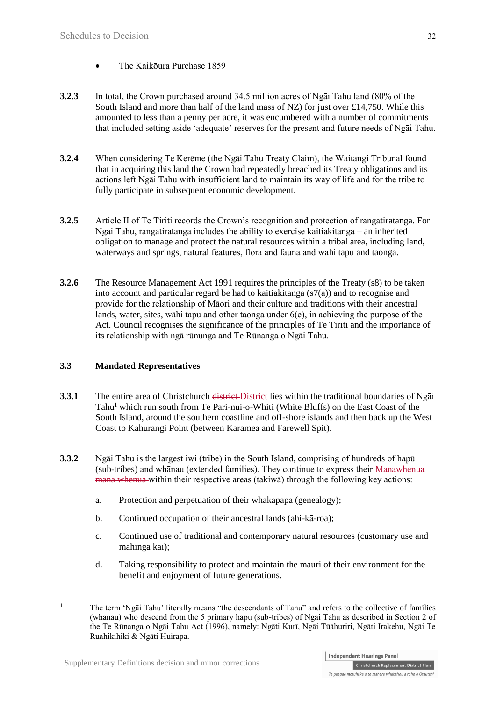- The Kaikōura Purchase 1859
- **3.2.3** In total, the Crown purchased around 34.5 million acres of Ngāi Tahu land (80% of the South Island and more than half of the land mass of NZ) for just over £14,750. While this amounted to less than a penny per acre, it was encumbered with a number of commitments that included setting aside 'adequate' reserves for the present and future needs of Ngāi Tahu.
- **3.2.4** When considering Te Kerēme (the Ngāi Tahu Treaty Claim), the Waitangi Tribunal found that in acquiring this land the Crown had repeatedly breached its Treaty obligations and its actions left Ngāi Tahu with insufficient land to maintain its way of life and for the tribe to fully participate in subsequent economic development.
- **3.2.5** Article II of Te Tiriti records the Crown's recognition and protection of rangatiratanga. For Ngāi Tahu, rangatiratanga includes the ability to exercise kaitiakitanga – an inherited obligation to manage and protect the natural resources within a tribal area, including land, waterways and springs, natural features, flora and fauna and wāhi tapu and taonga.
- **3.2.6** The Resource Management Act 1991 requires the principles of the Treaty (s8) to be taken into account and particular regard be had to kaitiakitanga  $(s7(a))$  and to recognise and provide for the relationship of Māori and their culture and traditions with their ancestral lands, water, sites, wāhi tapu and other taonga under 6(e), in achieving the purpose of the Act. Council recognises the significance of the principles of Te Tiriti and the importance of its relationship with ngā rūnunga and Te Rūnanga o Ngāi Tahu.

### **3.3 Mandated Representatives**

- **3.3.1** The entire area of Christchurch district District lies within the traditional boundaries of Ngai Tahu<sup>1</sup> which run south from Te Pari-nui-o-Whiti (White Bluffs) on the East Coast of the South Island, around the southern coastline and off-shore islands and then back up the West Coast to Kahurangi Point (between Karamea and Farewell Spit).
- **3.3.2** Ngāi Tahu is the largest iwi (tribe) in the South Island, comprising of hundreds of hapū (sub-tribes) and whānau (extended families). They continue to express their Manawhenua mana whenua within their respective areas (takiwā) through the following key actions:
	- a. Protection and perpetuation of their whakapapa (genealogy);
	- b. Continued occupation of their ancestral lands (ahi-kā-roa);
	- c. Continued use of traditional and contemporary natural resources (customary use and mahinga kai);
	- d. Taking responsibility to protect and maintain the mauri of their environment for the benefit and enjoyment of future generations.
- $\overline{1}$ <sup>1</sup> The term 'Ngāi Tahu' literally means "the descendants of Tahu" and refers to the collective of families (whānau) who descend from the 5 primary hapū (sub-tribes) of Ngāi Tahu as described in Section 2 of the Te Rūnanga o Ngāi Tahu Act (1996), namely: Ngāti Kurī, Ngāi Tūāhuriri, Ngāti Irakehu, Ngāi Te Ruahikihiki & Ngāti Huirapa.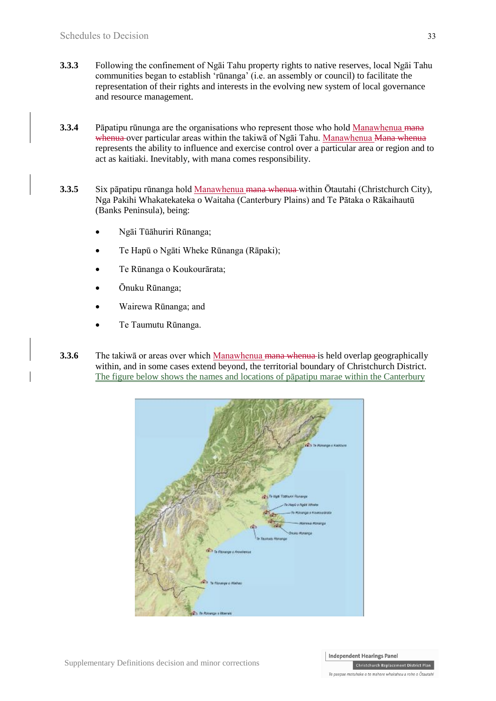- **3.3.3** Following the confinement of Ngāi Tahu property rights to native reserves, local Ngāi Tahu communities began to establish 'rūnanga' (i.e. an assembly or council) to facilitate the representation of their rights and interests in the evolving new system of local governance and resource management.
- **3.3.4** Pāpatipu rūnunga are the organisations who represent those who hold Manawhenua mana whenua over particular areas within the takiwa of Ngai Tahu. Manawhenua <del>Mana whenua</del> represents the ability to influence and exercise control over a particular area or region and to act as kaitiaki. Inevitably, with mana comes responsibility.
- **3.3.5** Six pāpatipu rūnanga hold Manawhenua mana whenua within Ōtautahi (Christchurch City), Nga Pakihi Whakatekateka o Waitaha (Canterbury Plains) and Te Pātaka o Rākaihautū (Banks Peninsula), being:
	- Ngāi Tūāhuriri Rūnanga;
	- Te Hapū o Ngāti Wheke Rūnanga (Rāpaki);
	- Te Rūnanga o Koukourārata;
	- Ōnuku Rūnanga;
	- Wairewa Rūnanga; and
	- Te Taumutu Rūnanga.
- **3.3.6** The takiwa or areas over which Manawhenua mana whenua is held overlap geographically within, and in some cases extend beyond, the territorial boundary of Christchurch District. The figure below shows the names and locations of pāpatipu marae within the Canterbury

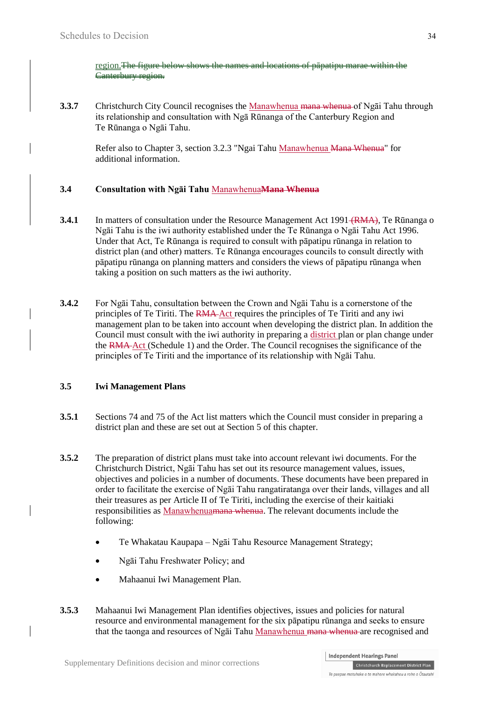region. The figure below shows the names and locations of papatipu marae within the Canterbury region.

**3.3.7** Christchurch City Council recognises the Manawhenua mana whenua of Ngai Tahu through its relationship and consultation with Ngā Rūnanga of the Canterbury Region and Te Rūnanga o Ngāi Tahu.

Refer also to Chapter 3, section 3.2.3 "Ngai Tahu Manawhenua Mana Whenua" for additional information.

### **3.4 Consultation with Ngāi Tahu** Manawhenua**Mana Whenua**

- **3.4.1** In matters of consultation under the Resource Management Act 1991 <del>(RMA)</del>. Te Rūnanga o Ngāi Tahu is the iwi authority established under the Te Rūnanga o Ngāi Tahu Act 1996. Under that Act, Te Rūnanga is required to consult with pāpatipu rūnanga in relation to district plan (and other) matters. Te Rūnanga encourages councils to consult directly with pāpatipu rūnanga on planning matters and considers the views of pāpatipu rūnanga when taking a position on such matters as the iwi authority.
- **3.4.2** For Ngāi Tahu, consultation between the Crown and Ngāi Tahu is a cornerstone of the principles of Te Tiriti. The RMA Act requires the principles of Te Tiriti and any iwi management plan to be taken into account when developing the district plan. In addition the Council must consult with the iwi authority in preparing a district plan or plan change under the RMA Act (Schedule 1) and the Order. The Council recognises the significance of the principles of Te Tiriti and the importance of its relationship with Ngāi Tahu.

### **3.5 Iwi Management Plans**

- **3.5.1** Sections 74 and 75 of the Act list matters which the Council must consider in preparing a district plan and these are set out at Section 5 of this chapter.
- **3.5.2** The preparation of district plans must take into account relevant iwi documents. For the Christchurch District, Ngāi Tahu has set out its resource management values, issues, objectives and policies in a number of documents. These documents have been prepared in order to facilitate the exercise of Ngāi Tahu rangatiratanga over their lands, villages and all their treasures as per Article II of Te Tiriti, including the exercise of their kaitiaki responsibilities as Manawhenuamana whenua. The relevant documents include the following:
	- Te Whakatau Kaupapa Ngāi Tahu Resource Management Strategy;
	- Ngāi Tahu Freshwater Policy; and
	- Mahaanui Iwi Management Plan.
- **3.5.3** Mahaanui Iwi Management Plan identifies objectives, issues and policies for natural resource and environmental management for the six pāpatipu rūnanga and seeks to ensure that the taonga and resources of Ngāi Tahu Manawhenua mana whenua are recognised and

Te paepae motuhake o te mahere whakahou a rohe o Ōtautahi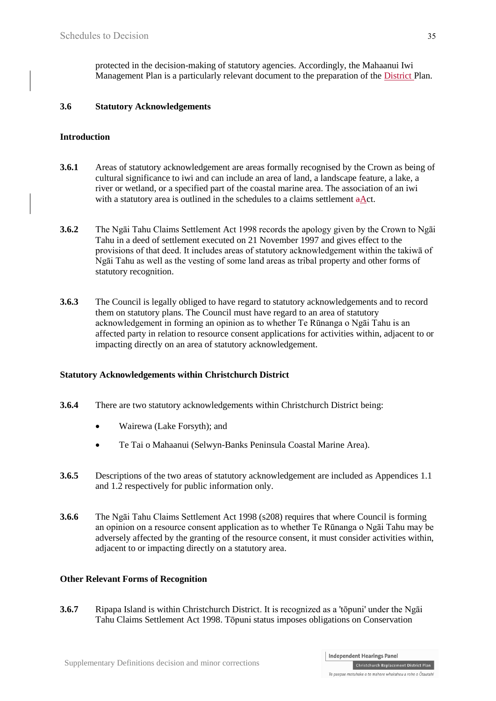protected in the decision-making of statutory agencies. Accordingly, the Mahaanui Iwi Management Plan is a particularly relevant document to the preparation of the District Plan.

### **3.6 Statutory Acknowledgements**

#### **Introduction**

- **3.6.1** Areas of statutory acknowledgement are areas formally recognised by the Crown as being of cultural significance to iwi and can include an area of land, a landscape feature, a lake, a river or wetland, or a specified part of the coastal marine area. The association of an iwi with a statutory area is outlined in the schedules to a claims settlement  $a$ Act.
- **3.6.2** The Ngāi Tahu Claims Settlement Act 1998 records the apology given by the Crown to Ngāi Tahu in a deed of settlement executed on 21 November 1997 and gives effect to the provisions of that deed. It includes areas of statutory acknowledgement within the takiwā of Ngāi Tahu as well as the vesting of some land areas as tribal property and other forms of statutory recognition.
- **3.6.3** The Council is legally obliged to have regard to statutory acknowledgements and to record them on statutory plans. The Council must have regard to an area of statutory acknowledgement in forming an opinion as to whether Te Rūnanga o Ngāi Tahu is an affected party in relation to resource consent applications for activities within, adjacent to or impacting directly on an area of statutory acknowledgement.

#### **Statutory Acknowledgements within Christchurch District**

- **3.6.4** There are two statutory acknowledgements within Christchurch District being:
	- Wairewa (Lake Forsyth); and
	- Te Tai o Mahaanui (Selwyn-Banks Peninsula Coastal Marine Area).
- **3.6.5** Descriptions of the two areas of statutory acknowledgement are included as Appendices 1.1 and 1.2 respectively for public information only.
- **3.6.6** The Ngāi Tahu Claims Settlement Act 1998 (s208) requires that where Council is forming an opinion on a resource consent application as to whether Te Rūnanga o Ngāi Tahu may be adversely affected by the granting of the resource consent, it must consider activities within, adjacent to or impacting directly on a statutory area.

#### **Other Relevant Forms of Recognition**

**3.6.7** Ripapa Island is within Christchurch District. It is recognized as a 'tōpuni' under the Ngāi Tahu Claims Settlement Act 1998. Tōpuni status imposes obligations on Conservation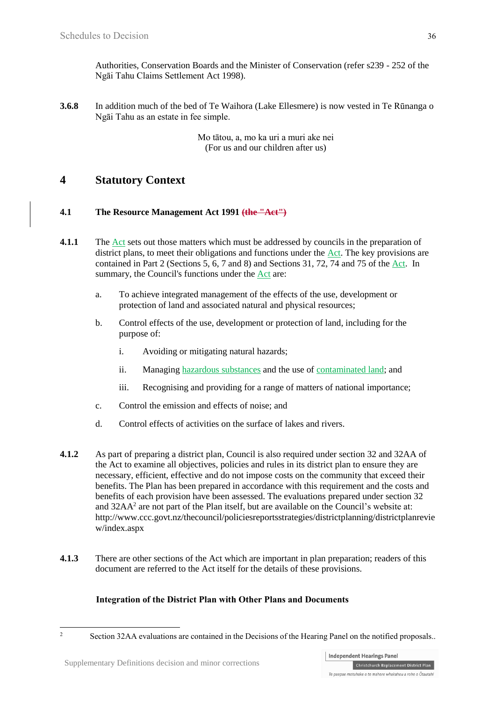Authorities, Conservation Boards and the Minister of Conservation (refer s239 - 252 of the Ngāi Tahu Claims Settlement Act 1998).

**3.6.8** In addition much of the bed of Te Waihora (Lake Ellesmere) is now vested in Te Rūnanga o Ngāi Tahu as an estate in fee simple.

> Mo tātou, a, mo ka uri a muri ake nei (For us and our children after us)

# **4 Statutory Context**

### **4.1 The Resource Management Act 1991 (the "Act")**

- **4.1.1** The Act sets out those matters which must be addressed by councils in the preparation of district plans, to meet their obligations and functions under the Act. The key provisions are contained in Part 2 (Sections 5, 6, 7 and 8) and Sections 31, 72, 74 and 75 of the Act. In summary, the Council's functions under the Act are:
	- a. To achieve integrated management of the effects of the use, development or protection of land and associated natural and physical resources;
	- b. Control effects of the use, development or protection of land, including for the purpose of:
		- i. Avoiding or mitigating natural hazards;
		- ii. Managing hazardous substances and the use of contaminated land; and
		- iii. Recognising and providing for a range of matters of national importance;
	- c. Control the emission and effects of noise; and
	- d. Control effects of activities on the surface of lakes and rivers.
- **4.1.2** As part of preparing a district plan, Council is also required under section 32 and 32AA of the Act to examine all objectives, policies and rules in its district plan to ensure they are necessary, efficient, effective and do not impose costs on the community that exceed their benefits. The Plan has been prepared in accordance with this requirement and the costs and benefits of each provision have been assessed. The evaluations prepared under section 32 and 32AA<sup>2</sup> are not part of the Plan itself, but are available on the Council's website at: [http://www.ccc.govt.nz/thecouncil/policiesreportsstrategies/districtplanning/districtplanrevie](http://www.ccc.govt.nz/theCouncil/policiesreportsstrategies/districtplanning/districtplanreview/index.aspx) [w/index.aspx](http://www.ccc.govt.nz/theCouncil/policiesreportsstrategies/districtplanning/districtplanreview/index.aspx)
- **4.1.3** There are other sections of the Act which are important in plan preparation; readers of this document are referred to the Act itself for the details of these provisions.

### **Integration of the District Plan with Other Plans and Documents**

 $\overline{c}$ Section 32AA evaluations are contained in the Decisions of the Hearing Panel on the notified proposals...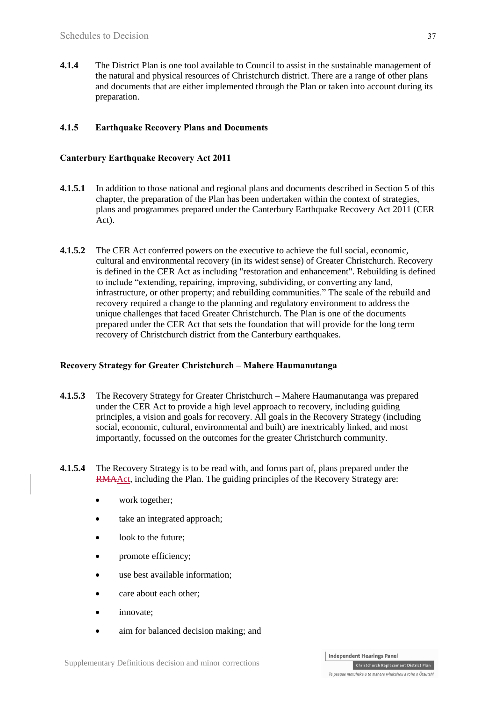**4.1.4** The District Plan is one tool available to Council to assist in the sustainable management of the natural and physical resources of Christchurch district. There are a range of other plans and documents that are either implemented through the Plan or taken into account during its preparation.

### **4.1.5 Earthquake Recovery Plans and Documents**

### **Canterbury Earthquake Recovery Act 2011**

- **4.1.5.1** In addition to those national and regional plans and documents described in Section 5 of this chapter, the preparation of the Plan has been undertaken within the context of strategies, plans and programmes prepared under the Canterbury Earthquake Recovery Act 2011 (CER Act).
- **4.1.5.2** The CER Act conferred powers on the executive to achieve the full social, economic, cultural and environmental recovery (in its widest sense) of Greater Christchurch. Recovery is defined in the CER Act as including "restoration and enhancement". Rebuilding is defined to include "extending, repairing, improving, subdividing, or converting any land, infrastructure, or other property; and rebuilding communities." The scale of the rebuild and recovery required a change to the planning and regulatory environment to address the unique challenges that faced Greater Christchurch. The Plan is one of the documents prepared under the CER Act that sets the foundation that will provide for the long term recovery of Christchurch district from the Canterbury earthquakes.

### **Recovery Strategy for Greater Christchurch – Mahere Haumanutanga**

- **4.1.5.3** The Recovery Strategy for Greater Christchurch Mahere Haumanutanga was prepared under the CER Act to provide a high level approach to recovery, including guiding principles, a vision and goals for recovery. All goals in the Recovery Strategy (including social, economic, cultural, environmental and built) are inextricably linked, and most importantly, focussed on the outcomes for the greater Christchurch community.
- **4.1.5.4** The Recovery Strategy is to be read with, and forms part of, plans prepared under the RMAAct, including the Plan. The guiding principles of the Recovery Strategy are:
	- work together;
	- take an integrated approach;
	- look to the future;
	- promote efficiency;
	- use best available information;
	- care about each other:
	- innovate:
	- aim for balanced decision making; and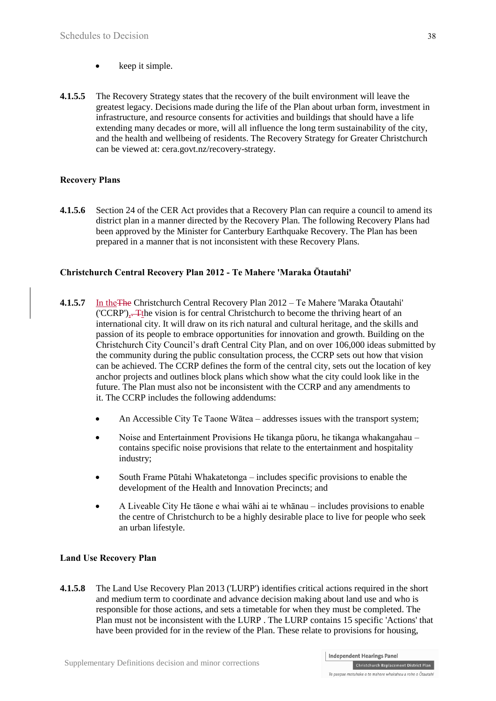- $\bullet$  keep it simple.
- **4.1.5.5** The Recovery Strategy states that the recovery of the built environment will leave the greatest legacy. Decisions made during the life of the Plan about urban form, investment in infrastructure, and resource consents for activities and buildings that should have a life extending many decades or more, will all influence the long term sustainability of the city, and the health and wellbeing of residents. The Recovery Strategy for Greater Christchurch can be viewed at: cera.govt.nz/recovery-strategy.

### **Recovery Plans**

**4.1.5.6** Section 24 of the CER Act provides that a Recovery Plan can require a council to amend its district plan in a manner directed by the Recovery Plan. The following Recovery Plans had been approved by the Minister for Canterbury Earthquake Recovery. The Plan has been prepared in a manner that is not inconsistent with these Recovery Plans.

### **[Christchurch Central Recovery Plan 2012](http://ccdu.govt.nz/the-plan) - Te Mahere 'Maraka Ōtautahi'**

- **4.1.5.7** In theThe [Christchurch Central Recovery Plan 2012](http://ccdu.govt.nz/the-plan) Te Mahere 'Maraka Ōtautahi' ('CCRP'),. Tthe vision is for central Christchurch to become the thriving heart of an international city. It will draw on its rich natural and cultural heritage, and the skills and passion of its people to embrace opportunities for innovation and growth. Building on the Christchurch City Council's draft Central City Plan, and on over 106,000 ideas submitted by the community during the public consultation process, the CCRP sets out how that vision can be achieved. The CCRP defines the form of the central city, sets out the location of key anchor projects and outlines block plans which show what the city could look like in the future. The Plan must also not be inconsistent with the CCRP and any amendments to it. The CCRP includes the following addendums:
	- An Accessible City Te Taone Wātea addresses issues with the transport system;
	- Noise and Entertainment Provisions He tikanga pūoru, he tikanga whakangahau contains specific noise provisions that relate to the entertainment and hospitality industry;
	- South Frame Pūtahi Whakatetonga includes specific provisions to enable the development of the Health and Innovation Precincts; and
	- A Liveable City He tāone e whai wāhi ai te whānau includes provisions to enable the centre of Christchurch to be a highly desirable place to live for people who seek an urban lifestyle.

### **Land Use Recovery Plan**

**4.1.5.8** [The Land Use Recovery Plan 2013](http://cera.govt.nz/recovery-strategy/built-environment/land-use-recovery-plan) ('LURP') identifies critical actions required in the short and medium term to coordinate and advance decision making about land use and who is responsible for those actions, and sets a timetable for when they must be completed. The Plan must not be inconsistent with the LURP . The LURP contains 15 specific 'Actions' that have been provided for in the review of the Plan. These relate to provisions for housing,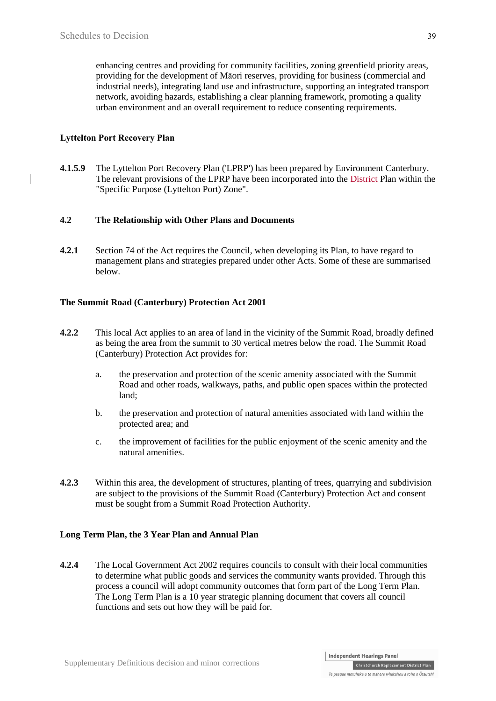enhancing centres and providing for community facilities, zoning greenfield priority areas, providing for the development of Māori reserves, providing for business (commercial and industrial needs), integrating land use and infrastructure, supporting an integrated transport network, avoiding hazards, establishing a clear planning framework, promoting a quality urban environment and an overall requirement to reduce consenting requirements.

### **Lyttelton Port Recovery Plan**

**4.1.5.9** The Lyttelton Port Recovery Plan ('LPRP') has been prepared by Environment Canterbury. The relevant provisions of the LPRP have been incorporated into the District Plan within the "Specific Purpose (Lyttelton Port) Zone".

### **4.2 The Relationship with Other Plans and Documents**

**4.2.1** Section 74 of the Act requires the Council, when developing its Plan, to have regard to management plans and strategies prepared under other Acts. Some of these are summarised below.

### **The Summit Road (Canterbury) Protection Act 2001**

- **4.2.2** This local Act applies to an area of land in the vicinity of the Summit Road, broadly defined as being the area from the summit to 30 vertical metres below the road[. The Summit Road](http://www.legislation.govt.nz/Act/local/2001/0003/latest/DLM85721.html) [\(Canterbury\) Protection Act](http://www.legislation.govt.nz/Act/local/2001/0003/latest/DLM85721.html) provides for:
	- a. the preservation and protection of the scenic amenity associated with the Summit Road and other roads, walkways, paths, and public open spaces within the protected land;
	- b. the preservation and protection of natural amenities associated with land within the protected area; and
	- c. the improvement of facilities for the public enjoyment of the scenic amenity and the natural amenities.
- **4.2.3** Within this area, the development of structures, planting of trees, quarrying and subdivision are subject to the provisions of the Summit Road (Canterbury) Protection Act and consent must be sought from a Summit Road Protection Authority.

### **Long Term Plan, the 3 Year Plan and Annual Plan**

**4.2.4** The Local Government Act 2002 requires councils to consult with their local communities to determine what public goods and services the community wants provided. Through this process a council will adopt community outcomes that form part of the Long Term Plan. The Long Term Plan is a 10 year strategic planning document that covers all council functions and sets out how they will be paid for.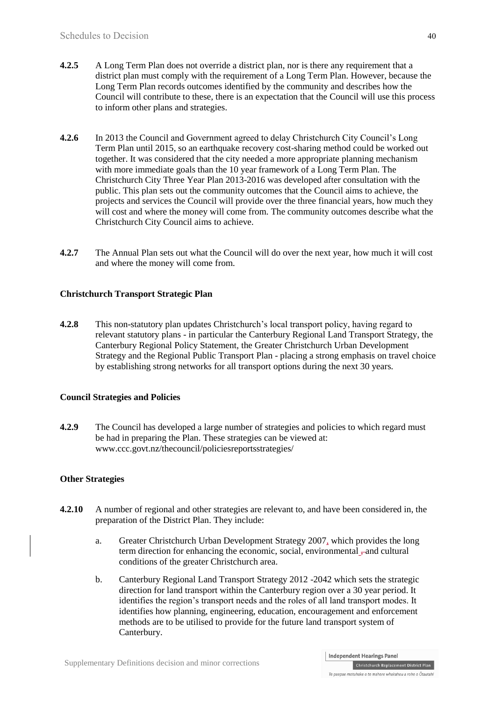- **4.2.5** A Long Term Plan does not override a district plan, nor is there any requirement that a district plan must comply with the requirement of a Long Term Plan. However, because the Long Term Plan records outcomes identified by the community and describes how the Council will contribute to these, there is an expectation that the Council will use this process to inform other plans and strategies.
- **4.2.6** In 2013 the Council and Government agreed to delay Christchurch City Council's Long Term Plan until 2015, so an earthquake recovery cost-sharing method could be worked out together. It was considered that the city needed a more appropriate planning mechanism with more immediate goals than the 10 year framework of a Long Term Plan. The Christchurch City Three Year Plan 2013-2016 was developed after consultation with the public. This plan sets out the community outcomes that the Council aims to achieve, the projects and services the Council will provide over the three financial years, how much they will cost and where the money will come from. The community outcomes describe what the Christchurch City Council aims to achieve.
- **4.2.7** The Annual Plan sets out what the Council will do over the next year, how much it will cost and where the money will come from.

### **Christchurch Transport Strategic Plan**

**4.2.8** This non-statutory plan updates Christchurch's local transport policy, having regard to relevant statutory plans - in particular the Canterbury Regional Land Transport Strategy, the Canterbury Regional Policy Statement, the Greater Christchurch Urban Development Strategy and the Regional Public Transport Plan - placing a strong emphasis on travel choice by establishing strong networks for all transport options during the next 30 years.

#### **Council Strategies and Policies**

**4.2.9** The Council has developed a large number of strategies and policies to which regard must be had in preparing the Plan. These strategies can be viewed at: [www.ccc.govt.nz/thecouncil/policiesreportsstrategies/](http://www.ccc.govt.nz/theCouncil/policiesreportsstrategies/strategies/index.aspx)

### **Other Strategies**

- **4.2.10** A number of regional and other strategies are relevant to, and have been considered in, the preparation of the District Plan. They include:
	- a. Greater Christchurch Urban Development Strategy 2007, which provides the long term direction for enhancing the economic, social, environmental –and cultural conditions of the greater Christchurch area.
	- b. Canterbury Regional Land Transport Strategy 2012 -2042 which sets the strategic direction for land transport within the Canterbury region over a 30 year period. It identifies the region's transport needs and the roles of all land transport modes. It identifies how planning, engineering, education, encouragement and enforcement methods are to be utilised to provide for the future land transport system of Canterbury.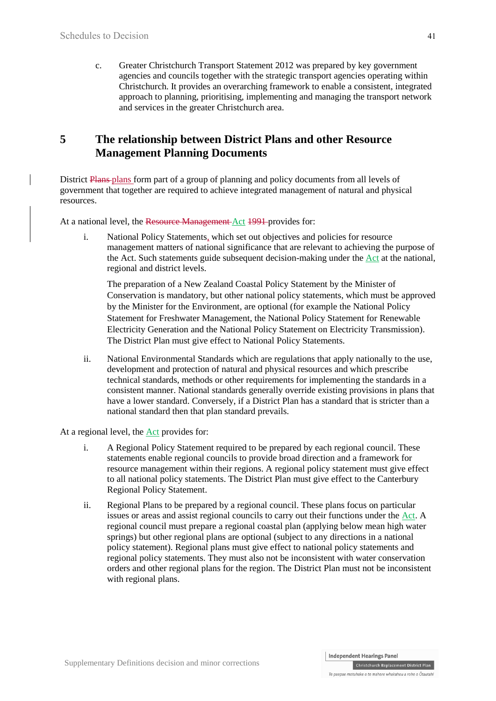c. Greater Christchurch Transport Statement 2012 was prepared by key government agencies and councils together with the strategic transport agencies operating within Christchurch. It provides an overarching framework to enable a consistent, integrated approach to planning, prioritising, implementing and managing the transport network and services in the greater Christchurch area.

# **5 The relationship between District Plans and other Resource Management Planning Documents**

District Plans-plans form part of a group of planning and policy documents from all levels of government that together are required to achieve integrated management of natural and physical resources.

At a national level, the Resource Management Act 1991 provides for:

i. National Policy Statements, which set out objectives and policies for resource management matters of national significance that are relevant to achieving the purpose of the Act. Such statements guide subsequent decision-making under the Act at the national, regional and district levels.

The preparation of a New Zealand Coastal Policy Statement by the Minister of Conservation is mandatory, but other national policy statements, which must be approved by the Minister for the Environment, are optional (for example the National Policy Statement for Freshwater Management, the National Policy Statement for Renewable Electricity Generation and the National Policy Statement on Electricity Transmission). The District Plan must give effect to National Policy Statements.

ii. National Environmental Standards which are regulations that apply nationally to the use, development and protection of natural and physical resources and which prescribe technical standards, methods or other requirements for implementing the standards in a consistent manner. National standards generally override existing provisions in plans that have a lower standard. Conversely, if a District Plan has a standard that is stricter than a national standard then that plan standard prevails.

At a regional level, the Act provides for:

- i. A Regional Policy Statement required to be prepared by each regional council. These statements enable regional councils to provide broad direction and a framework for resource management within their regions. A regional policy statement must give effect to all national policy statements. The District Plan must give effect to the Canterbury Regional Policy Statement.
- ii. Regional Plans to be prepared by a regional council. These plans focus on particular issues or areas and assist regional councils to carry out their functions under the Act. A regional council must prepare a regional coastal plan (applying below mean high water springs) but other regional plans are optional (subject to any directions in a national policy statement). Regional plans must give effect to national policy statements and regional policy statements. They must also not be inconsistent with water conservation orders and other regional plans for the region. The District Plan must not be inconsistent with regional plans.

Christchurch Replacement District Plan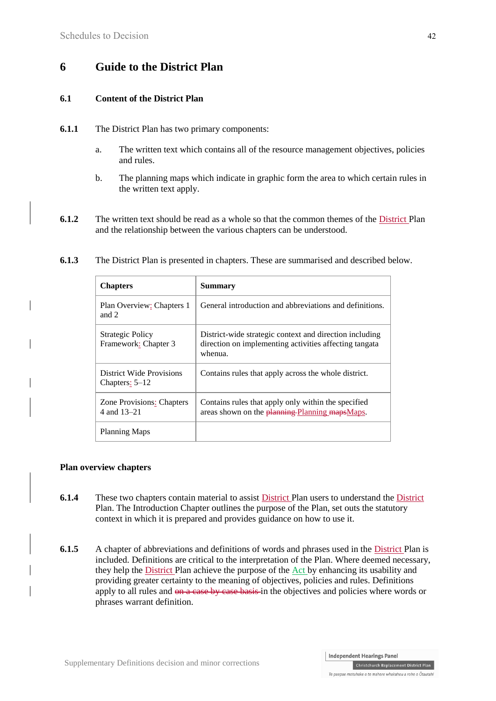# **6 Guide to the District Plan**

### **6.1 Content of the District Plan**

- **6.1.1** The District Plan has two primary components:
	- a. The written text which contains all of the resource management objectives, policies and rules.
	- b. The planning maps which indicate in graphic form the area to which certain rules in the written text apply.
- **6.1.2** The written text should be read as a whole so that the common themes of the District Plan and the relationship between the various chapters can be understood.

| <b>Chapters</b>                                 | <b>Summary</b>                                                                                                               |
|-------------------------------------------------|------------------------------------------------------------------------------------------------------------------------------|
| Plan Overview: Chapters 1<br>and $2$            | General introduction and abbreviations and definitions.                                                                      |
| <b>Strategic Policy</b><br>Framework: Chapter 3 | District-wide strategic context and direction including<br>direction on implementing activities affecting tangata<br>whenua. |
| District Wide Provisions<br>Chapters: $5-12$    | Contains rules that apply across the whole district.                                                                         |
| <b>Zone Provisions: Chapters</b><br>4 and 13–21 | Contains rules that apply only within the specified<br>areas shown on the planning-Planning mapsMaps.                        |
| <b>Planning Maps</b>                            |                                                                                                                              |

**6.1.3** The District Plan is presented in chapters. These are summarised and described below.

#### **Plan overview chapters**

- **6.1.4** These two chapters contain material to assist District Plan users to understand the District Plan. The Introduction Chapter outlines the purpose of the Plan, set outs the statutory context in which it is prepared and provides guidance on how to use it.
- **6.1.5** A chapter of abbreviations and definitions of words and phrases used in the District Plan is included. Definitions are critical to the interpretation of the Plan. Where deemed necessary, they help the District Plan achieve the purpose of the Act by enhancing its usability and providing greater certainty to the meaning of objectives, policies and rules. Definitions apply to all rules and <del>on a case by case basis</del> in the objectives and policies where words or phrases warrant definition.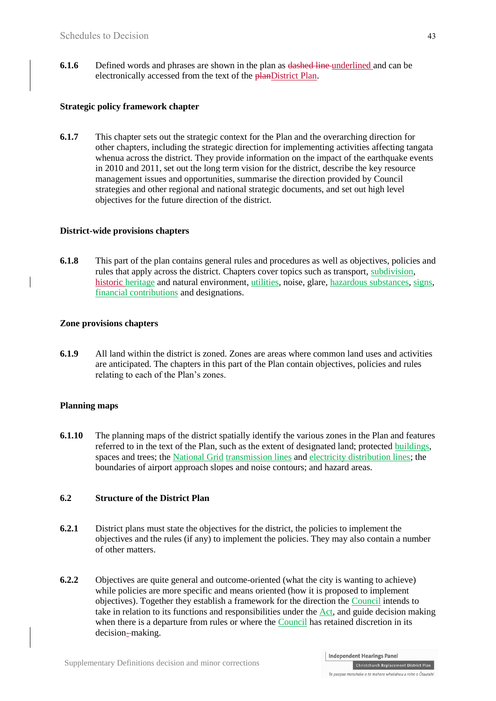**6.1.6** Defined words and phrases are shown in the plan as dashed line underlined and can be electronically accessed from the text of the planDistrict Plan.

#### **Strategic policy framework chapter**

**6.1.7** This chapter sets out the strategic context for the Plan and the overarching direction for other chapters, including the strategic direction for implementing activities affecting tangata whenua across the district. They provide information on the impact of the earthquake events in 2010 and 2011, set out the long term vision for the district, describe the key resource management issues and opportunities, summarise the direction provided by Council strategies and other regional and national strategic documents, and set out high level objectives for the future direction of the district.

#### **District-wide provisions chapters**

**6.1.8** This part of the plan contains general rules and procedures as well as objectives, policies and rules that apply across the district. Chapters cover topics such as transport, subdivision, historic heritage and natural environment, utilities, noise, glare, hazardous substances, signs, financial contributions and designations.

### **Zone provisions chapters**

**6.1.9** All land within the district is zoned. Zones are areas where common land uses and activities are anticipated. The chapters in this part of the Plan contain objectives, policies and rules relating to each of the Plan's zones.

### **Planning maps**

**6.1.10** The planning maps of the district spatially identify the various zones in the Plan and features referred to in the text of the Plan, such as the extent of designated land; protected buildings, spaces and trees; the National Grid transmission lines and electricity distribution lines; the boundaries of airport approach slopes and noise contours; and hazard areas.

#### **6.2 Structure of the District Plan**

- **6.2.1** District plans must state the objectives for the district, the policies to implement the objectives and the rules (if any) to implement the policies. They may also contain a number of other matters.
- **6.2.2** Objectives are quite general and outcome-oriented (what the city is wanting to achieve) while policies are more specific and means oriented (how it is proposed to implement objectives). Together they establish a framework for the direction the Council intends to take in relation to its functions and responsibilities under the Act, and guide decision making when there is a departure from rules or where the Council has retained discretion in its decision-making.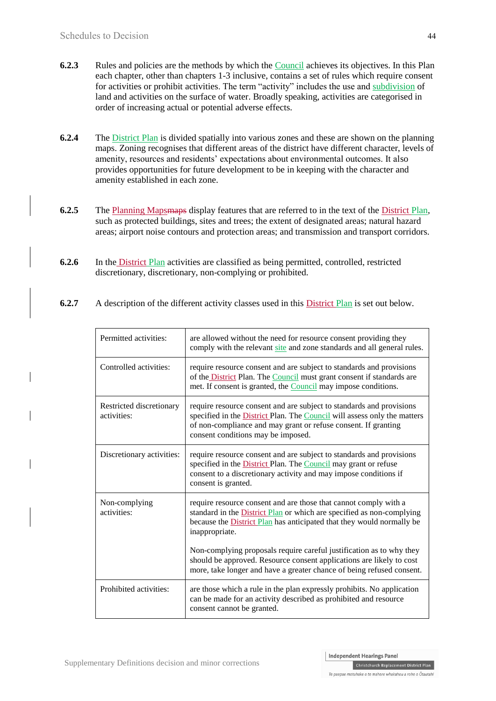- **6.2.3** Rules and policies are the methods by which the Council achieves its objectives. In this Plan each chapter, other than chapters 1-3 inclusive, contains a set of rules which require consent for activities or prohibit activities. The term "activity" includes the use and subdivision of land and activities on the surface of water. Broadly speaking, activities are categorised in order of increasing actual or potential adverse effects.
- **6.2.4** The District Plan is divided spatially into various zones and these are shown on the planning maps. Zoning recognises that different areas of the district have different character, levels of amenity, resources and residents' expectations about environmental outcomes. It also provides opportunities for future development to be in keeping with the character and amenity established in each zone.
- **6.2.5** The Planning Mapsmaps display features that are referred to in the text of the District Plan, such as protected buildings, sites and trees; the extent of designated areas; natural hazard areas; airport noise contours and protection areas; and transmission and transport corridors.
- **6.2.6** In the **District Plan** activities are classified as being permitted, controlled, restricted discretionary, discretionary, non-complying or prohibited.
- **6.2.7** A description of the different activity classes used in this District Plan is set out below.

| Permitted activities:                   | are allowed without the need for resource consent providing they<br>comply with the relevant site and zone standards and all general rules.                                                                                                                            |
|-----------------------------------------|------------------------------------------------------------------------------------------------------------------------------------------------------------------------------------------------------------------------------------------------------------------------|
| Controlled activities:                  | require resource consent and are subject to standards and provisions<br>of the <b>District</b> Plan. The <b>Council</b> must grant consent if standards are<br>met. If consent is granted, the <b>Council</b> may impose conditions.                                   |
| Restricted discretionary<br>activities: | require resource consent and are subject to standards and provisions<br>specified in the <b>District</b> Plan. The <b>Council</b> will assess only the matters<br>of non-compliance and may grant or refuse consent. If granting<br>consent conditions may be imposed. |
| Discretionary activities:               | require resource consent and are subject to standards and provisions<br>specified in the District Plan. The Council may grant or refuse<br>consent to a discretionary activity and may impose conditions if<br>consent is granted.                                     |
| Non-complying<br>activities:            | require resource consent and are those that cannot comply with a<br>standard in the District Plan or which are specified as non-complying<br>because the <b>District Plan</b> has anticipated that they would normally be<br>inappropriate.                            |
|                                         | Non-complying proposals require careful justification as to why they<br>should be approved. Resource consent applications are likely to cost<br>more, take longer and have a greater chance of being refused consent.                                                  |
| Prohibited activities:                  | are those which a rule in the plan expressly prohibits. No application<br>can be made for an activity described as prohibited and resource<br>consent cannot be granted.                                                                                               |

Christchurch Replacement District Plan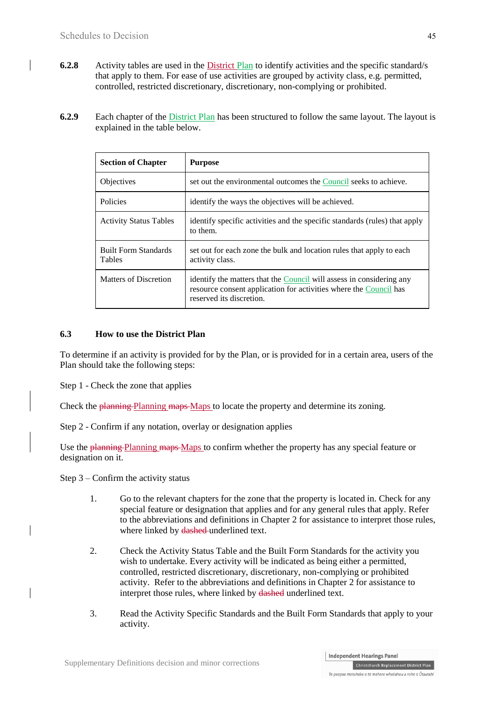- **6.2.8** Activity tables are used in the District Plan to identify activities and the specific standard/s that apply to them. For ease of use activities are grouped by activity class, e.g. permitted, controlled, restricted discretionary, discretionary, non-complying or prohibited.
- **6.2.9** Each chapter of the District Plan has been structured to follow the same layout. The layout is explained in the table below.

| <b>Section of Chapter</b>             | <b>Purpose</b>                                                                                                                                                        |
|---------------------------------------|-----------------------------------------------------------------------------------------------------------------------------------------------------------------------|
| <b>Objectives</b>                     | set out the environmental outcomes the Council seeks to achieve.                                                                                                      |
| <b>Policies</b>                       | identify the ways the objectives will be achieved.                                                                                                                    |
| <b>Activity Status Tables</b>         | identify specific activities and the specific standards (rules) that apply<br>to them.                                                                                |
| <b>Built Form Standards</b><br>Tables | set out for each zone the bulk and location rules that apply to each<br>activity class.                                                                               |
| Matters of Discretion                 | identify the matters that the Council will assess in considering any<br>resource consent application for activities where the Council has<br>reserved its discretion. |

### **6.3 How to use the District Plan**

To determine if an activity is provided for by the Plan, or is provided for in a certain area, users of the Plan should take the following steps:

Step 1 - Check the zone that applies

Check the planning Planning maps Maps to locate the property and determine its zoning.

Step 2 - Confirm if any notation, overlay or designation applies

Use the planning Planning maps Maps to confirm whether the property has any special feature or designation on it.

Step 3 – Confirm the activity status

- 1. Go to the relevant chapters for the zone that the property is located in. Check for any special feature or designation that applies and for any general rules that apply. Refer to the abbreviations and definitions in Chapter 2 for assistance to interpret those rules, where linked by dashed underlined text.
- 2. Check the Activity Status Table and the Built Form Standards for the activity you wish to undertake. Every activity will be indicated as being either a permitted, controlled, restricted discretionary, discretionary, non-complying or prohibited activity. Refer to the abbreviations and definitions in Chapter 2 for assistance to interpret those rules, where linked by dashed underlined text.
- 3. Read the Activity Specific Standards and the Built Form Standards that apply to your activity.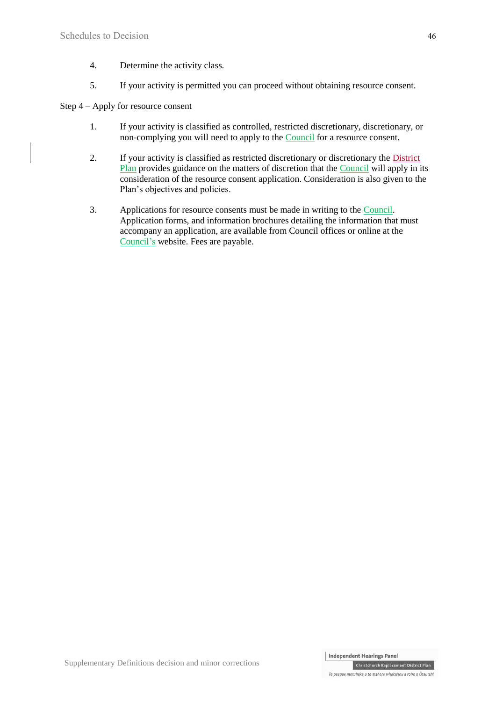- 4. Determine the activity class.
- 5. If your activity is permitted you can proceed without obtaining resource consent.

### Step 4 – Apply for resource consent

- 1. If your activity is classified as controlled, restricted discretionary, discretionary, or non-complying you will need to apply to the Council for a resource consent.
- 2. If your activity is classified as restricted discretionary or discretionary the District Plan provides guidance on the matters of discretion that the Council will apply in its consideration of the resource consent application. Consideration is also given to the Plan's objectives and policies.
- 3. Applications for resource consents must be made in writing to the Council. Application forms, and information brochures detailing the information that must accompany an application, are available from Council offices or online at the Council's website. Fees are payable.

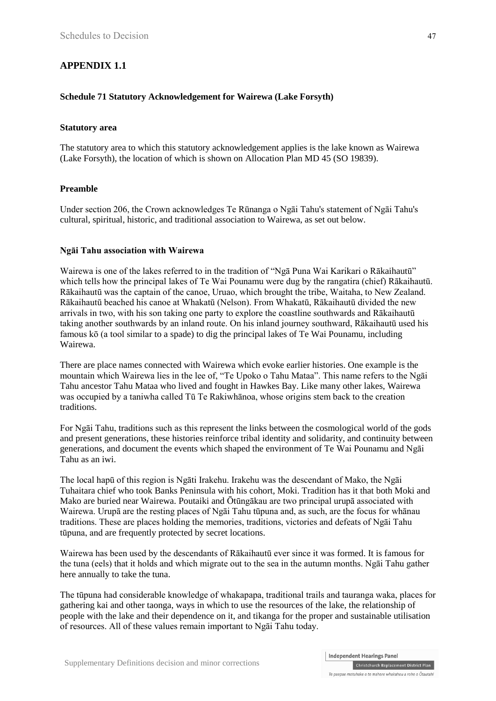# **APPENDIX 1.1**

### **Schedule 71 Statutory Acknowledgement for Wairewa (Lake Forsyth)**

#### **Statutory area**

The statutory area to which this statutory acknowledgement applies is the lake known as Wairewa (Lake Forsyth), the location of which is shown on Allocation Plan MD 45 (SO 19839).

#### **Preamble**

Under section 206, the Crown acknowledges Te Rūnanga o Ngāi Tahu's statement of Ngāi Tahu's cultural, spiritual, historic, and traditional association to Wairewa, as set out below.

#### **Ngāi Tahu association with Wairewa**

Wairewa is one of the lakes referred to in the tradition of "Ngā Puna Wai Karikari o Rākaihautū" which tells how the principal lakes of Te Wai Pounamu were dug by the rangatira (chief) Rākaihautū. Rākaihautū was the captain of the canoe, Uruao, which brought the tribe, Waitaha, to New Zealand. Rākaihautū beached his canoe at Whakatū (Nelson). From Whakatū, Rākaihautū divided the new arrivals in two, with his son taking one party to explore the coastline southwards and Rākaihautū taking another southwards by an inland route. On his inland journey southward, Rākaihautū used his famous kō (a tool similar to a spade) to dig the principal lakes of Te Wai Pounamu, including Wairewa.

There are place names connected with Wairewa which evoke earlier histories. One example is the mountain which Wairewa lies in the lee of, "Te Upoko o Tahu Mataa". This name refers to the Ngāi Tahu ancestor Tahu Mataa who lived and fought in Hawkes Bay. Like many other lakes, Wairewa was occupied by a taniwha called Tū Te Rakiwhānoa, whose origins stem back to the creation traditions.

For Ngāi Tahu, traditions such as this represent the links between the cosmological world of the gods and present generations, these histories reinforce tribal identity and solidarity, and continuity between generations, and document the events which shaped the environment of Te Wai Pounamu and Ngāi Tahu as an iwi.

The local hapū of this region is Ngāti Irakehu. Irakehu was the descendant of Mako, the Ngāi Tuhaitara chief who took Banks Peninsula with his cohort, Moki. Tradition has it that both Moki and Mako are buried near Wairewa. Poutaiki and Ōtūngākau are two principal urupā associated with Wairewa. Urupā are the resting places of Ngāi Tahu tūpuna and, as such, are the focus for whānau traditions. These are places holding the memories, traditions, victories and defeats of Ngāi Tahu tūpuna, and are frequently protected by secret locations.

Wairewa has been used by the descendants of Rākaihautū ever since it was formed. It is famous for the tuna (eels) that it holds and which migrate out to the sea in the autumn months. Ngāi Tahu gather here annually to take the tuna.

The tūpuna had considerable knowledge of whakapapa, traditional trails and tauranga waka, places for gathering kai and other taonga, ways in which to use the resources of the lake, the relationship of people with the lake and their dependence on it, and tikanga for the proper and sustainable utilisation of resources. All of these values remain important to Ngāi Tahu today.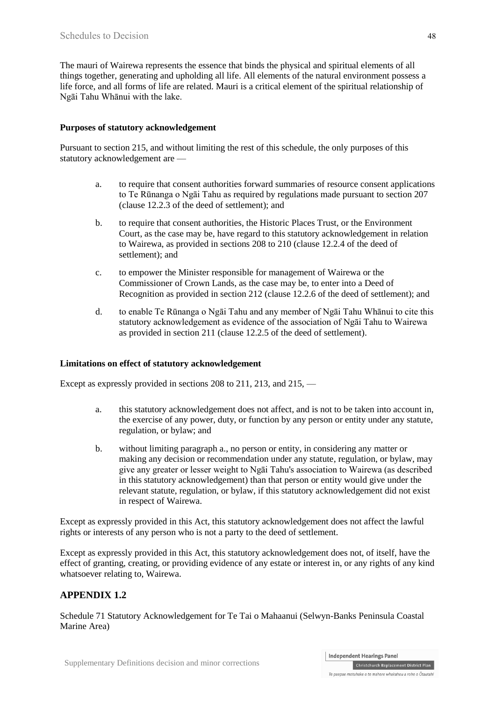The mauri of Wairewa represents the essence that binds the physical and spiritual elements of all things together, generating and upholding all life. All elements of the natural environment possess a life force, and all forms of life are related. Mauri is a critical element of the spiritual relationship of Ngāi Tahu Whānui with the lake.

### **Purposes of statutory acknowledgement**

Pursuant to section 215, and without limiting the rest of this schedule, the only purposes of this statutory acknowledgement are —

- a. to require that consent authorities forward summaries of resource consent applications to Te Rūnanga o Ngāi Tahu as required by regulations made pursuant to section 207 (clause 12.2.3 of the deed of settlement); and
- b. to require that consent authorities, the Historic Places Trust, or the Environment Court, as the case may be, have regard to this statutory acknowledgement in relation to Wairewa, as provided in sections 208 to 210 (clause 12.2.4 of the deed of settlement); and
- c. to empower the Minister responsible for management of Wairewa or the Commissioner of Crown Lands, as the case may be, to enter into a Deed of Recognition as provided in section 212 (clause 12.2.6 of the deed of settlement); and
- d. to enable Te Rūnanga o Ngāi Tahu and any member of Ngāi Tahu Whānui to cite this statutory acknowledgement as evidence of the association of Ngāi Tahu to Wairewa as provided in section 211 (clause 12.2.5 of the deed of settlement).

#### **Limitations on effect of statutory acknowledgement**

Except as expressly provided in sections 208 to 211, 213, and 215, —

- a. this statutory acknowledgement does not affect, and is not to be taken into account in, the exercise of any power, duty, or function by any person or entity under any statute, regulation, or bylaw; and
- b. without limiting paragraph a., no person or entity, in considering any matter or making any decision or recommendation under any statute, regulation, or bylaw, may give any greater or lesser weight to Ngāi Tahu's association to Wairewa (as described in this statutory acknowledgement) than that person or entity would give under the relevant statute, regulation, or bylaw, if this statutory acknowledgement did not exist in respect of Wairewa.

Except as expressly provided in this Act, this statutory acknowledgement does not affect the lawful rights or interests of any person who is not a party to the deed of settlement.

Except as expressly provided in this Act, this statutory acknowledgement does not, of itself, have the effect of granting, creating, or providing evidence of any estate or interest in, or any rights of any kind whatsoever relating to, Wairewa.

### **APPENDIX 1.2**

Schedule 71 Statutory Acknowledgement for Te Tai o Mahaanui (Selwyn-Banks Peninsula Coastal Marine Area)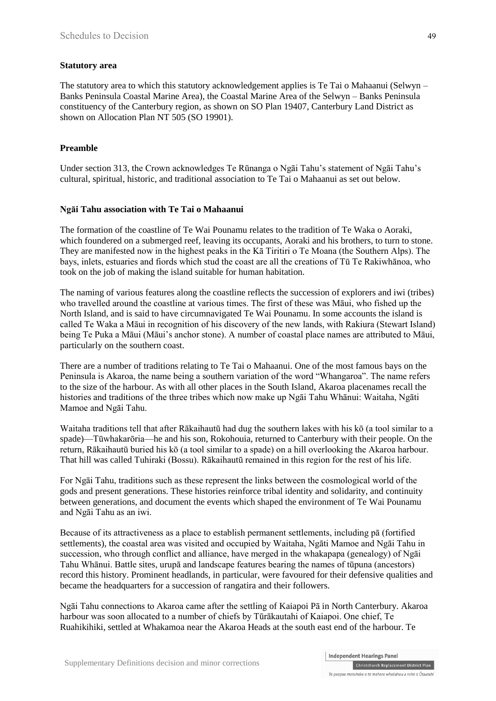#### **Statutory area**

The statutory area to which this statutory acknowledgement applies is Te Tai o Mahaanui (Selwyn – Banks Peninsula Coastal Marine Area), the Coastal Marine Area of the Selwyn – Banks Peninsula constituency of the Canterbury region, as shown on SO Plan 19407, Canterbury Land District as shown on Allocation Plan NT 505 (SO 19901).

#### **Preamble**

Under [section 313,](http://www.legislation.govt.nz/Act/public/1998/0097/latest/link.aspx?id=DLM430232#DLM430232) the Crown acknowledges Te Rūnanga o Ngāi Tahu's statement of Ngāi Tahu's cultural, spiritual, historic, and traditional association to Te Tai o Mahaanui as set out below.

#### **Ngāi Tahu association with Te Tai o Mahaanui**

The formation of the coastline of Te Wai Pounamu relates to the tradition of Te Waka o Aoraki, which foundered on a submerged reef, leaving its occupants, Aoraki and his brothers, to turn to stone. They are manifested now in the highest peaks in the Kā Tiritiri o Te Moana (the Southern Alps). The bays, inlets, estuaries and fiords which stud the coast are all the creations of Tū Te Rakiwhānoa, who took on the job of making the island suitable for human habitation.

The naming of various features along the coastline reflects the succession of explorers and iwi (tribes) who travelled around the coastline at various times. The first of these was Māui, who fished up the North Island, and is said to have circumnavigated Te Wai Pounamu. In some accounts the island is called Te Waka a Māui in recognition of his discovery of the new lands, with Rakiura (Stewart Island) being Te Puka a Māui (Māui's anchor stone). A number of coastal place names are attributed to Māui, particularly on the southern coast.

There are a number of traditions relating to Te Tai o Mahaanui. One of the most famous bays on the Peninsula is Akaroa, the name being a southern variation of the word "Whangaroa". The name refers to the size of the harbour. As with all other places in the South Island, Akaroa placenames recall the histories and traditions of the three tribes which now make up Ngāi Tahu Whānui: Waitaha, Ngāti Mamoe and Ngāi Tahu.

Waitaha traditions tell that after Rākaihautū had dug the southern lakes with his kō (a tool similar to a spade)—Tūwhakarōria—he and his son, Rokohouia, returned to Canterbury with their people. On the return, Rākaihautū buried his kō (a tool similar to a spade) on a hill overlooking the Akaroa harbour. That hill was called Tuhiraki (Bossu). Rākaihautū remained in this region for the rest of his life.

For Ngāi Tahu, traditions such as these represent the links between the cosmological world of the gods and present generations. These histories reinforce tribal identity and solidarity, and continuity between generations, and document the events which shaped the environment of Te Wai Pounamu and Ngāi Tahu as an iwi.

Because of its attractiveness as a place to establish permanent settlements, including pā (fortified settlements), the coastal area was visited and occupied by Waitaha, Ngāti Mamoe and Ngāi Tahu in succession, who through conflict and alliance, have merged in the whakapapa (genealogy) of Ngāi Tahu Whānui. Battle sites, urupā and landscape features bearing the names of tūpuna (ancestors) record this history. Prominent headlands, in particular, were favoured for their defensive qualities and became the headquarters for a succession of rangatira and their followers.

Ngāi Tahu connections to Akaroa came after the settling of Kaiapoi Pā in North Canterbury. Akaroa harbour was soon allocated to a number of chiefs by Tūrākautahi of Kaiapoi. One chief, Te Ruahikihiki, settled at Whakamoa near the Akaroa Heads at the south east end of the harbour. Te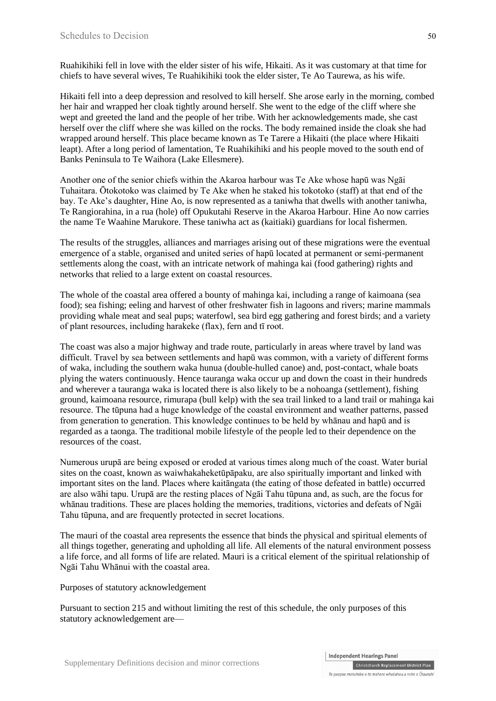Ruahikihiki fell in love with the elder sister of his wife, Hikaiti. As it was customary at that time for chiefs to have several wives, Te Ruahikihiki took the elder sister, Te Ao Taurewa, as his wife.

Hikaiti fell into a deep depression and resolved to kill herself. She arose early in the morning, combed her hair and wrapped her cloak tightly around herself. She went to the edge of the cliff where she wept and greeted the land and the people of her tribe. With her acknowledgements made, she cast herself over the cliff where she was killed on the rocks. The body remained inside the cloak she had wrapped around herself. This place became known as Te Tarere a Hikaiti (the place where Hikaiti leapt). After a long period of lamentation, Te Ruahikihiki and his people moved to the south end of Banks Peninsula to Te Waihora (Lake Ellesmere).

Another one of the senior chiefs within the Akaroa harbour was Te Ake whose hapū was Ngāi Tuhaitara. Ōtokotoko was claimed by Te Ake when he staked his tokotoko (staff) at that end of the bay. Te Ake's daughter, Hine Ao, is now represented as a taniwha that dwells with another taniwha, Te Rangiorahina, in a rua (hole) off Opukutahi Reserve in the Akaroa Harbour. Hine Ao now carries the name Te Waahine Marukore. These taniwha act as (kaitiaki) guardians for local fishermen.

The results of the struggles, alliances and marriages arising out of these migrations were the eventual emergence of a stable, organised and united series of hapū located at permanent or semi-permanent settlements along the coast, with an intricate network of mahinga kai (food gathering) rights and networks that relied to a large extent on coastal resources.

The whole of the coastal area offered a bounty of mahinga kai, including a range of kaimoana (sea food); sea fishing; eeling and harvest of other freshwater fish in lagoons and rivers; marine mammals providing whale meat and seal pups; waterfowl, sea bird egg gathering and forest birds; and a variety of plant resources, including harakeke (flax), fern and tī root.

The coast was also a major highway and trade route, particularly in areas where travel by land was difficult. Travel by sea between settlements and hapū was common, with a variety of different forms of waka, including the southern waka hunua (double-hulled canoe) and, post-contact, whale boats plying the waters continuously. Hence tauranga waka occur up and down the coast in their hundreds and wherever a tauranga waka is located there is also likely to be a nohoanga (settlement), fishing ground, kaimoana resource, rimurapa (bull kelp) with the sea trail linked to a land trail or mahinga kai resource. The tūpuna had a huge knowledge of the coastal environment and weather patterns, passed from generation to generation. This knowledge continues to be held by whānau and hapū and is regarded as a taonga. The traditional mobile lifestyle of the people led to their dependence on the resources of the coast.

Numerous urupā are being exposed or eroded at various times along much of the coast. Water burial sites on the coast, known as waiwhakaheketūpāpaku, are also spiritually important and linked with important sites on the land. Places where kaitāngata (the eating of those defeated in battle) occurred are also wāhi tapu. Urupā are the resting places of Ngāi Tahu tūpuna and, as such, are the focus for whānau traditions. These are places holding the memories, traditions, victories and defeats of Ngāi Tahu tūpuna, and are frequently protected in secret locations.

The mauri of the coastal area represents the essence that binds the physical and spiritual elements of all things together, generating and upholding all life. All elements of the natural environment possess a life force, and all forms of life are related. Mauri is a critical element of the spiritual relationship of Ngāi Tahu Whānui with the coastal area.

Purposes of statutory acknowledgement

Pursuant to [section 215](http://www.legislation.govt.nz/Act/public/1998/0097/latest/link.aspx?id=DLM430054#DLM430054) and without limiting the rest of this schedule, the only purposes of this statutory acknowledgement are—